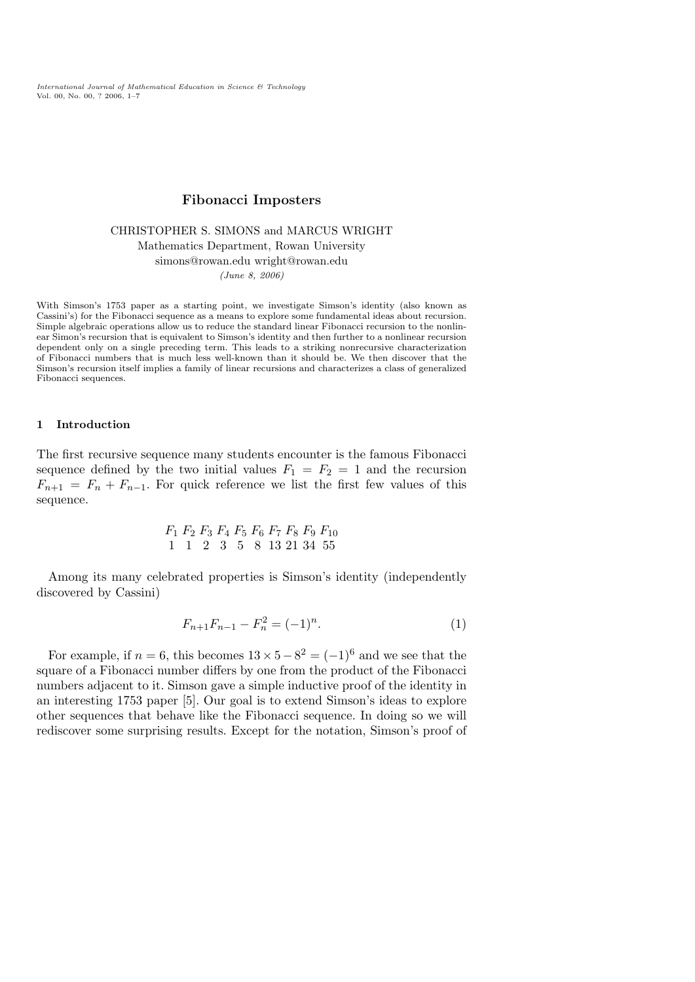International Journal of Mathematical Education in Science & Technology Vol. 00, No. 00, ? 2006, 1–7

# Fibonacci Imposters

CHRISTOPHER S. SIMONS and MARCUS WRIGHT Mathematics Department, Rowan University simons@rowan.edu wright@rowan.edu (June 8, 2006)

With Simson's 1753 paper as a starting point, we investigate Simson's identity (also known as Cassini's) for the Fibonacci sequence as a means to explore some fundamental ideas about recursion. Simple algebraic operations allow us to reduce the standard linear Fibonacci recursion to the nonlinear Simon's recursion that is equivalent to Simson's identity and then further to a nonlinear recursion dependent only on a single preceding term. This leads to a striking nonrecursive characterization of Fibonacci numbers that is much less well-known than it should be. We then discover that the Simson's recursion itself implies a family of linear recursions and characterizes a class of generalized Fibonacci sequences.

### 1 Introduction

The first recursive sequence many students encounter is the famous Fibonacci sequence defined by the two initial values  $F_1 = F_2 = 1$  and the recursion  $F_{n+1} = F_n + F_{n-1}$ . For quick reference we list the first few values of this sequence.

$$
F_1 \tF_2 \tF_3 \tF_4 \tF_5 \tF_6 \tF_7 \tF_8 \tF_9 \tF_{10} 1 \t1 \t2 \t3 \t5 \t8 \t13 \t21 \t34 \t55
$$

Among its many celebrated properties is Simson's identity (independently discovered by Cassini)

$$
F_{n+1}F_{n-1} - F_n^2 = (-1)^n.
$$
 (1)

For example, if  $n = 6$ , this becomes  $13 \times 5 - 8^2 = (-1)^6$  and we see that the square of a Fibonacci number differs by one from the product of the Fibonacci numbers adjacent to it. Simson gave a simple inductive proof of the identity in an interesting 1753 paper [5]. Our goal is to extend Simson's ideas to explore other sequences that behave like the Fibonacci sequence. In doing so we will rediscover some surprising results. Except for the notation, Simson's proof of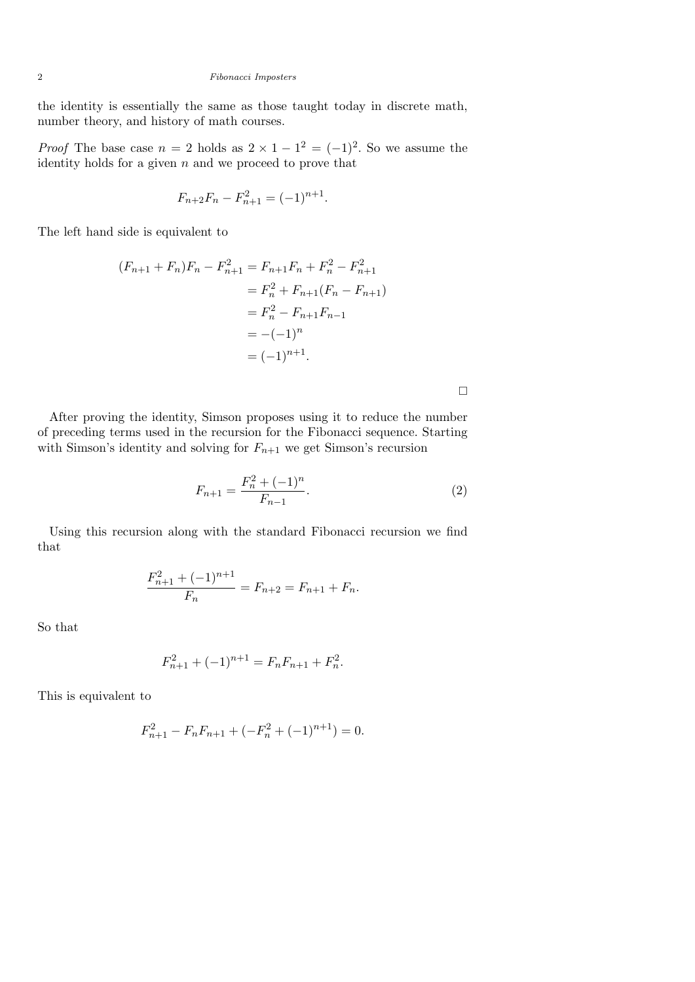### 2 Fibonacci Imposters

the identity is essentially the same as those taught today in discrete math, number theory, and history of math courses.

*Proof* The base case  $n = 2$  holds as  $2 \times 1 - 1^2 = (-1)^2$ . So we assume the identity holds for a given  $n$  and we proceed to prove that

$$
F_{n+2}F_n - F_{n+1}^2 = (-1)^{n+1}.
$$

The left hand side is equivalent to

$$
(F_{n+1} + F_n)F_n - F_{n+1}^2 = F_{n+1}F_n + F_n^2 - F_{n+1}^2
$$
  
=  $F_n^2 + F_{n+1}(F_n - F_{n+1})$   
=  $F_n^2 - F_{n+1}F_{n-1}$   
=  $-(-1)^n$   
=  $(-1)^{n+1}$ .

After proving the identity, Simson proposes using it to reduce the number of preceding terms used in the recursion for the Fibonacci sequence. Starting with Simson's identity and solving for  $F_{n+1}$  we get Simson's recursion

$$
F_{n+1} = \frac{F_n^2 + (-1)^n}{F_{n-1}}.\tag{2}
$$

 $\Box$ 

Using this recursion along with the standard Fibonacci recursion we find that

$$
\frac{F_{n+1}^2 + (-1)^{n+1}}{F_n} = F_{n+2} = F_{n+1} + F_n.
$$

So that

$$
F_{n+1}^2 + (-1)^{n+1} = F_n F_{n+1} + F_n^2.
$$

This is equivalent to

$$
F_{n+1}^{2} - F_{n}F_{n+1} + (-F_{n}^{2} + (-1)^{n+1}) = 0.
$$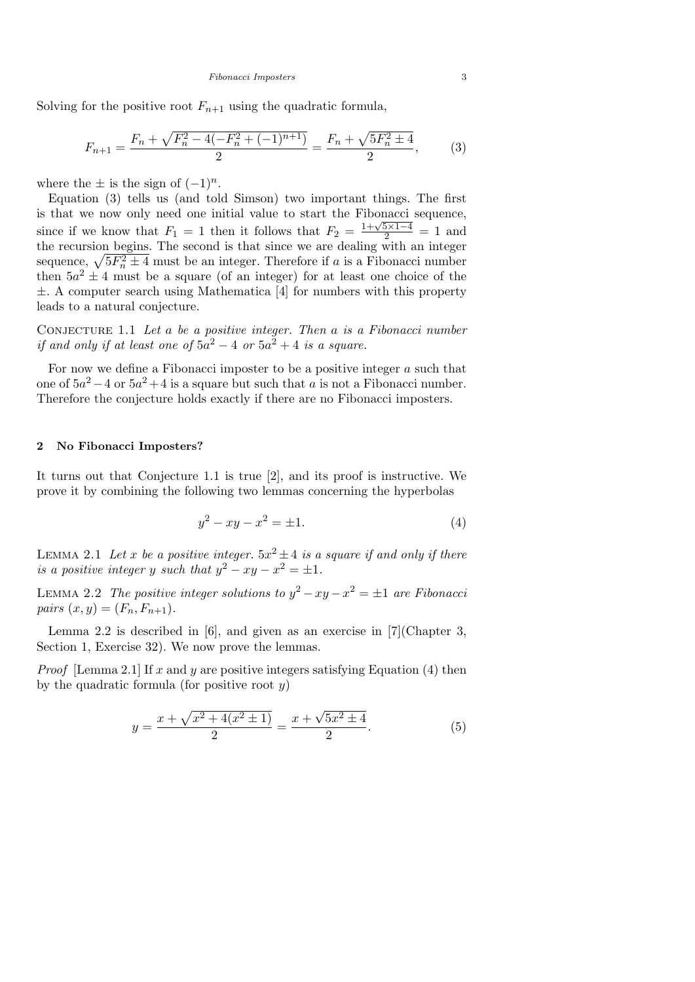Solving for the positive root  $F_{n+1}$  using the quadratic formula,

$$
F_{n+1} = \frac{F_n + \sqrt{F_n^2 - 4(-F_n^2 + (-1)^{n+1})}}{2} = \frac{F_n + \sqrt{5F_n^2 \pm 4}}{2},\tag{3}
$$

where the  $\pm$  is the sign of  $(-1)^n$ .

Equation (3) tells us (and told Simson) two important things. The first is that we now only need one initial value to start the Fibonacci sequence, since if we know that  $F_1 = 1$  then it follows that  $F_2 = \frac{1+\sqrt{5\times1-4}}{2} = 1$  and the recursion begins. The second is that since we are dealing with an integer sequence,  $\sqrt{5F_n^2 \pm 4}$  must be an integer. Therefore if a is a Fibonacci number then  $5a^2 \pm 4$  must be a square (of an integer) for at least one choice of the ±. A computer search using Mathematica [4] for numbers with this property leads to a natural conjecture.

CONJECTURE 1.1 Let  $a$  be a positive integer. Then  $a$  is a Fibonacci number if and only if at least one of  $5a^2 - 4$  or  $5a^2 + 4$  is a square.

For now we define a Fibonacci imposter to be a positive integer  $a$  such that one of  $5a^2 - 4$  or  $5a^2 + 4$  is a square but such that a is not a Fibonacci number. Therefore the conjecture holds exactly if there are no Fibonacci imposters.

#### 2 No Fibonacci Imposters?

It turns out that Conjecture 1.1 is true [2], and its proof is instructive. We prove it by combining the following two lemmas concerning the hyperbolas

$$
y^2 - xy - x^2 = \pm 1.
$$
 (4)

LEMMA 2.1 Let x be a positive integer.  $5x^2 \pm 4$  is a square if and only if there is a positive integer y such that  $y^2 - xy - x^2 = \pm 1$ .

LEMMA 2.2 The positive integer solutions to  $y^2 - xy - x^2 = \pm 1$  are Fibonacci pairs  $(x, y) = (F_n, F_{n+1}).$ 

Lemma 2.2 is described in [6], and given as an exercise in [7](Chapter 3, Section 1, Exercise 32). We now prove the lemmas.

*Proof* [Lemma 2.1] If x and y are positive integers satisfying Equation (4) then by the quadratic formula (for positive root  $y$ )

$$
y = \frac{x + \sqrt{x^2 + 4(x^2 \pm 1)}}{2} = \frac{x + \sqrt{5x^2 \pm 4}}{2}.
$$
 (5)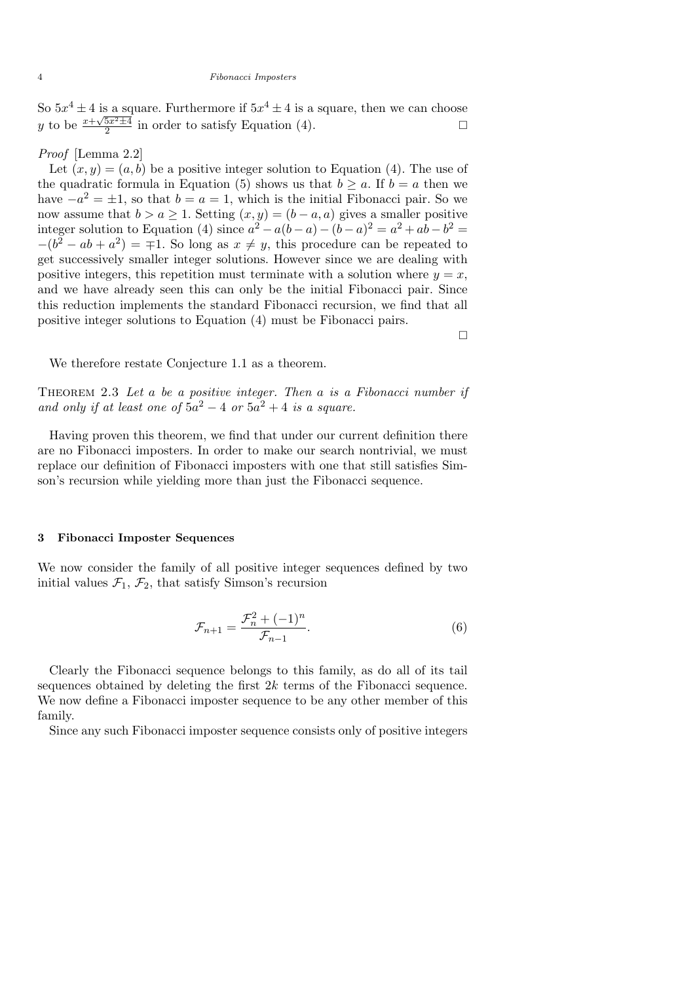#### 4 Fibonacci Imposters

So  $5x^4 \pm 4$  is a square. Furthermore if  $5x^4 \pm 4$  is a square, then we can choose y to be  $\frac{x+\sqrt{5x^2\pm 4}}{2}$  $\frac{5x^2 \pm 4}{2}$  in order to satisfy Equation (4).

## Proof [Lemma 2.2]

Let  $(x, y) = (a, b)$  be a positive integer solution to Equation (4). The use of the quadratic formula in Equation (5) shows us that  $b \ge a$ . If  $b = a$  then we have  $-a^2 = \pm 1$ , so that  $b = a = 1$ , which is the initial Fibonacci pair. So we now assume that  $b > a \ge 1$ . Setting  $(x, y) = (b - a, a)$  gives a smaller positive integer solution to Equation (4) since  $a^2 - a(b-a) - (b-a)^2 = a^2 + ab - b^2 = a$  $-(b^2 - ab + a^2) = \pm 1$ . So long as  $x \neq y$ , this procedure can be repeated to get successively smaller integer solutions. However since we are dealing with positive integers, this repetition must terminate with a solution where  $y = x$ , and we have already seen this can only be the initial Fibonacci pair. Since this reduction implements the standard Fibonacci recursion, we find that all positive integer solutions to Equation (4) must be Fibonacci pairs.

We therefore restate Conjecture 1.1 as a theorem.

THEOREM 2.3 Let a be a positive integer. Then a is a Fibonacci number if and only if at least one of  $5a^2 - 4$  or  $5a^2 + 4$  is a square.

Having proven this theorem, we find that under our current definition there are no Fibonacci imposters. In order to make our search nontrivial, we must replace our definition of Fibonacci imposters with one that still satisfies Simson's recursion while yielding more than just the Fibonacci sequence.

### 3 Fibonacci Imposter Sequences

We now consider the family of all positive integer sequences defined by two initial values  $\mathcal{F}_1$ ,  $\mathcal{F}_2$ , that satisfy Simson's recursion

$$
\mathcal{F}_{n+1} = \frac{\mathcal{F}_n^2 + (-1)^n}{\mathcal{F}_{n-1}}.
$$
\n(6)

 $\Box$ 

Clearly the Fibonacci sequence belongs to this family, as do all of its tail sequences obtained by deleting the first  $2k$  terms of the Fibonacci sequence. We now define a Fibonacci imposter sequence to be any other member of this family.

Since any such Fibonacci imposter sequence consists only of positive integers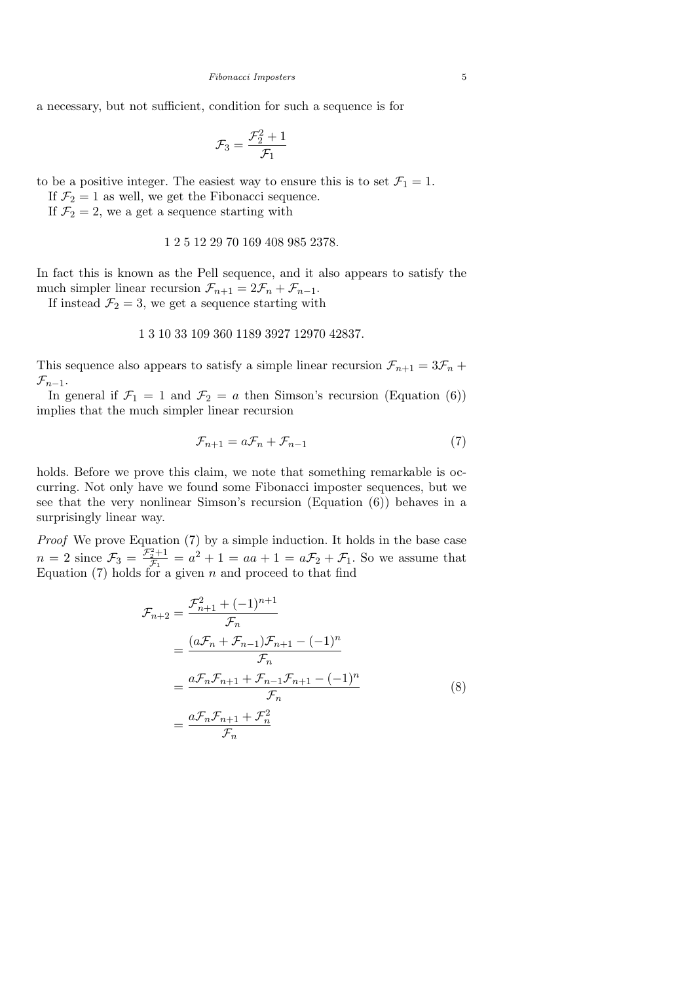a necessary, but not sufficient, condition for such a sequence is for

$$
\mathcal{F}_3 = \frac{\mathcal{F}_2^2 + 1}{\mathcal{F}_1}
$$

to be a positive integer. The easiest way to ensure this is to set  $\mathcal{F}_1 = 1$ .

If  $\mathcal{F}_2 = 1$  as well, we get the Fibonacci sequence.

If  $\mathcal{F}_2 = 2$ , we a get a sequence starting with

## 1 2 5 12 29 70 169 408 985 2378.

In fact this is known as the Pell sequence, and it also appears to satisfy the much simpler linear recursion  $\mathcal{F}_{n+1} = 2\mathcal{F}_n + \mathcal{F}_{n-1}$ .

If instead  $\mathcal{F}_2 = 3$ , we get a sequence starting with

## 1 3 10 33 109 360 1189 3927 12970 42837.

This sequence also appears to satisfy a simple linear recursion  $\mathcal{F}_{n+1} = 3\mathcal{F}_n +$  $\mathcal{F}_{n-1}$ .

In general if  $\mathcal{F}_1 = 1$  and  $\mathcal{F}_2 = a$  then Simson's recursion (Equation (6)) implies that the much simpler linear recursion

$$
\mathcal{F}_{n+1} = a\mathcal{F}_n + \mathcal{F}_{n-1} \tag{7}
$$

holds. Before we prove this claim, we note that something remarkable is occurring. Not only have we found some Fibonacci imposter sequences, but we see that the very nonlinear Simson's recursion (Equation (6)) behaves in a surprisingly linear way.

Proof We prove Equation (7) by a simple induction. It holds in the base case  $n=2$  since  $\mathcal{F}_3 = \frac{\mathcal{F}_2^2+1}{\mathcal{F}_1}$  $\frac{\sigma_2^2+1}{\mathcal{F}_1} = a^2 + 1 = aa + 1 = a\mathcal{F}_2 + \mathcal{F}_1$ . So we assume that Equation  $(7)$  holds for a given n and proceed to that find

$$
\mathcal{F}_{n+2} = \frac{\mathcal{F}_{n+1}^2 + (-1)^{n+1}}{\mathcal{F}_n} \n= \frac{(a\mathcal{F}_n + \mathcal{F}_{n-1})\mathcal{F}_{n+1} - (-1)^n}{\mathcal{F}_n} \n= \frac{a\mathcal{F}_n\mathcal{F}_{n+1} + \mathcal{F}_{n-1}\mathcal{F}_{n+1} - (-1)^n}{\mathcal{F}_n} \n= \frac{a\mathcal{F}_n\mathcal{F}_{n+1} + \mathcal{F}_n^2}{\mathcal{F}_n}
$$
\n(8)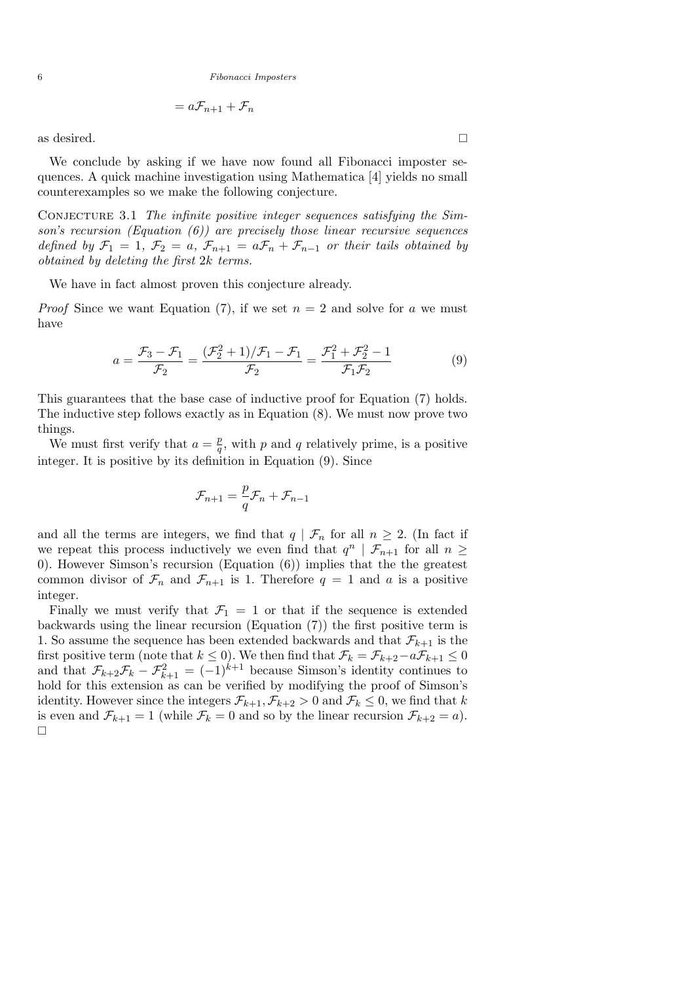6 Fibonacci Imposters

$$
= a\mathcal{F}_{n+1} + \mathcal{F}_n
$$

as desired.  $\square$ 

We conclude by asking if we have now found all Fibonacci imposter sequences. A quick machine investigation using Mathematica [4] yields no small counterexamples so we make the following conjecture.

Conjecture 3.1 The infinite positive integer sequences satisfying the Simson's recursion (Equation  $(6)$ ) are precisely those linear recursive sequences defined by  $\mathcal{F}_1 = 1, \mathcal{F}_2 = a, \mathcal{F}_{n+1} = a\mathcal{F}_n + \mathcal{F}_{n-1}$  or their tails obtained by obtained by deleting the first 2k terms.

We have in fact almost proven this conjecture already.

*Proof* Since we want Equation (7), if we set  $n = 2$  and solve for a we must have

$$
a = \frac{\mathcal{F}_3 - \mathcal{F}_1}{\mathcal{F}_2} = \frac{(\mathcal{F}_2^2 + 1)/\mathcal{F}_1 - \mathcal{F}_1}{\mathcal{F}_2} = \frac{\mathcal{F}_1^2 + \mathcal{F}_2^2 - 1}{\mathcal{F}_1 \mathcal{F}_2}
$$
(9)

This guarantees that the base case of inductive proof for Equation (7) holds. The inductive step follows exactly as in Equation (8). We must now prove two things.

We must first verify that  $a = \frac{p}{q}$  $\frac{p}{q}$ , with p and q relatively prime, is a positive integer. It is positive by its definition in Equation (9). Since

$$
\mathcal{F}_{n+1} = \frac{p}{q}\mathcal{F}_n + \mathcal{F}_{n-1}
$$

and all the terms are integers, we find that  $q | \mathcal{F}_n$  for all  $n \geq 2$ . (In fact if we repeat this process inductively we even find that  $q^n | \mathcal{F}_{n+1}$  for all  $n \geq$ 0). However Simson's recursion (Equation (6)) implies that the the greatest common divisor of  $\mathcal{F}_n$  and  $\mathcal{F}_{n+1}$  is 1. Therefore  $q = 1$  and a is a positive integer.

Finally we must verify that  $\mathcal{F}_1 = 1$  or that if the sequence is extended backwards using the linear recursion (Equation (7)) the first positive term is 1. So assume the sequence has been extended backwards and that  $\mathcal{F}_{k+1}$  is the first positive term (note that  $k \leq 0$ ). We then find that  $\mathcal{F}_k = \mathcal{F}_{k+2} - a\mathcal{F}_{k+1} \leq 0$ and that  $\mathcal{F}_{k+2}\mathcal{F}_k - \mathcal{F}_{k+1}^2 = (-1)^{k+1}$  because Simson's identity continues to hold for this extension as can be verified by modifying the proof of Simson's identity. However since the integers  $\mathcal{F}_{k+1}, \mathcal{F}_{k+2} > 0$  and  $\mathcal{F}_k \leq 0$ , we find that k is even and  $\mathcal{F}_{k+1} = 1$  (while  $\mathcal{F}_k = 0$  and so by the linear recursion  $\mathcal{F}_{k+2} = a$ ).  $\Box$